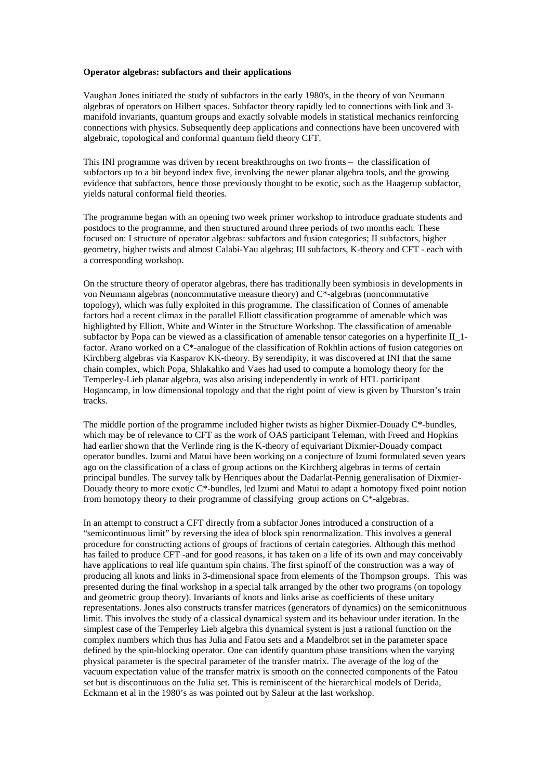## **Operator algebras: subfactors and their applications**

Vaughan Jones initiated the study of subfactors in the early 1980's, in the theory of von Neumann algebras of operators on Hilbert spaces. Subfactor theory rapidly led to connections with link and 3 manifold invariants, quantum groups and exactly solvable models in statistical mechanics reinforcing connections with physics. Subsequently deep applications and connections have been uncovered with algebraic, topological and conformal quantum field theory CFT.

This INI programme was driven by recent breakthroughs on two fronts – the classification of subfactors up to a bit beyond index five, involving the newer planar algebra tools, and the growing evidence that subfactors, hence those previously thought to be exotic, such as the Haagerup subfactor, yields natural conformal field theories.

The programme began with an opening two week primer workshop to introduce graduate students and postdocs to the programme, and then structured around three periods of two months each. These focused on: I structure of operator algebras: subfactors and fusion categories; II subfactors, higher geometry, higher twists and almost Calabi-Yau algebras; III subfactors, K-theory and CFT - each with a corresponding workshop.

On the structure theory of operator algebras, there has traditionally been symbiosis in developments in von Neumann algebras (noncommutative measure theory) and C\*-algebras (noncommutative topology), which was fully exploited in this programme. The classification of Connes of amenable factors had a recent climax in the parallel Elliott classification programme of amenable which was highlighted by Elliott, White and Winter in the Structure Workshop. The classification of amenable subfactor by Popa can be viewed as a classification of amenable tensor categories on a hyperfinite II\_1 factor. Arano worked on a C\*-analogue of the classification of Rokhlin actions of fusion categories on Kirchberg algebras via Kasparov KK-theory. By serendipity, it was discovered at INI that the same chain complex, which Popa, Shlakahko and Vaes had used to compute a homology theory for the Temperley-Lieb planar algebra, was also arising independently in work of HTL participant Hogancamp, in low dimensional topology and that the right point of view is given by Thurston's train tracks.

The middle portion of the programme included higher twists as higher Dixmier-Douady  $C^*$ -bundles, which may be of relevance to CFT as the work of OAS participant Teleman, with Freed and Hopkins had earlier shown that the Verlinde ring is the K-theory of equivariant Dixmier-Douady compact operator bundles. Izumi and Matui have been working on a conjecture of Izumi formulated seven years ago on the classification of a class of group actions on the Kirchberg algebras in terms of certain principal bundles. The survey talk by Henriques about the Dadarlat-Pennig generalisation of Dixmier-Douady theory to more exotic C\*-bundles, led Izumi and Matui to adapt a homotopy fixed point notion from homotopy theory to their programme of classifying group actions on C\*-algebras.

In an attempt to construct a CFT directly from a subfactor Jones introduced a construction of a "semicontinuous limit" by reversing the idea of block spin renormalization. This involves a general procedure for constructing actions of groups of fractions of certain categories. Although this method has failed to produce CFT -and for good reasons, it has taken on a life of its own and may conceivably have applications to real life quantum spin chains. The first spinoff of the construction was a way of producing all knots and links in 3-dimensional space from elements of the Thompson groups. This was presented during the final workshop in a special talk arranged by the other two programs (on topology and geometric group theory). Invariants of knots and links arise as coefficients of these unitary representations. Jones also constructs transfer matrices (generators of dynamics) on the semiconitnuous limit. This involves the study of a classical dynamical system and its behaviour under iteration. In the simplest case of the Temperley Lieb algebra this dynamical system is just a rational function on the complex numbers which thus has Julia and Fatou sets and a Mandelbrot set in the parameter space defined by the spin-blocking operator. One can identify quantum phase transitions when the varying physical parameter is the spectral parameter of the transfer matrix. The average of the log of the vacuum expectation value of the transfer matrix is smooth on the connected components of the Fatou set but is discontinuous on the Julia set. This is reminiscent of the hierarchical models of Derida, Eckmann et al in the 1980's as was pointed out by Saleur at the last workshop.